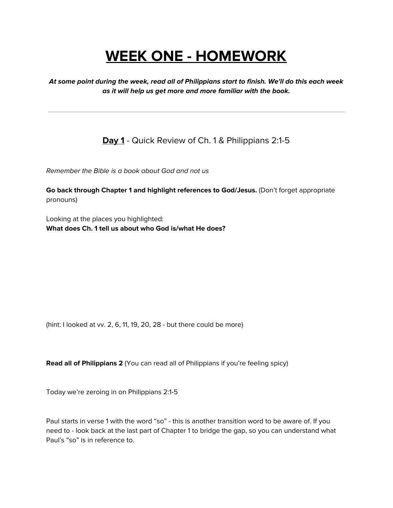# **WEEK ONE - HOMEWORK**

**At some point during the week, read all of Philippians start to finish. We'll do this each week as it will help us get more and more familiar with the book.**

**Day 1** - Quick Review of Ch. 1 & Philippians 2:1-5

Remember the Bible is a book about God and not us

**Go back through Chapter 1 and highlight references to God/Jesus.** (Don't forget appropriate pronouns)

Looking at the places you highlighted: **What does Ch. 1 tell us about who God is/what He does?**

(hint: I looked at vv. 2, 6, 11, 19, 20, 28 - but there could be more)

**Read all of Philippians 2** (You can read all of Philippians if you're feeling spicy)

Today we're zeroing in on Philippians 2:1-5

Paul starts in verse 1 with the word "so" - this is another transition word to be aware of. If you need to - look back at the last part of Chapter 1 to bridge the gap, so you can understand what Paul's "so" is in reference to.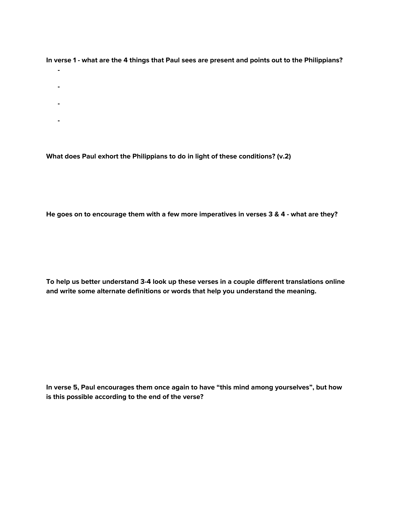In verse 1 - what are the 4 things that Paul sees are present and points out to the Philippians?

- **-**
- **-**
- **-**
- **-**

**What does Paul exhort the Philippians to do in light of these conditions? (v.2)**

He goes on to encourage them with a few more imperatives in verses 3 & 4 - what are they?

**To help us better understand 3-4 look up these verses in a couple different translations online and write some alternate definitions or words that help you understand the meaning.**

**In verse 5, Paul encourages them once again to have "this mind among yourselves", but how is this possible according to the end of the verse?**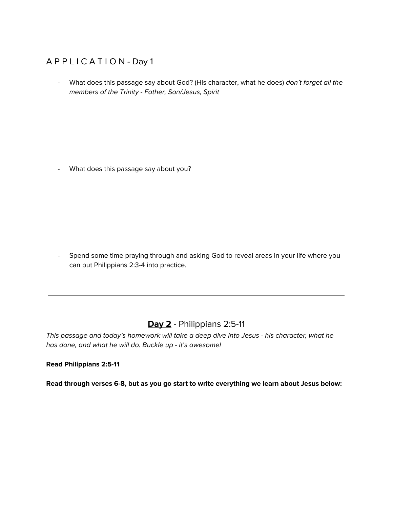### A P P L I C A T I O N - Day 1

- What does this passage say about God? (His character, what he does) don't forget all the members of the Trinity - Father, Son/Jesus, Spirit

- What does this passage say about you?

- Spend some time praying through and asking God to reveal areas in your life where you can put Philippians 2:3-4 into practice.

# **Day 2** - Philippians 2:5-11

This passage and today's homework will take a deep dive into Jesus - his character, what he has done, and what he will do. Buckle up - it's awesome!

#### **Read Philippians 2:5-11**

**Read through verses 6-8, but as you go start to write everything we learn about Jesus below:**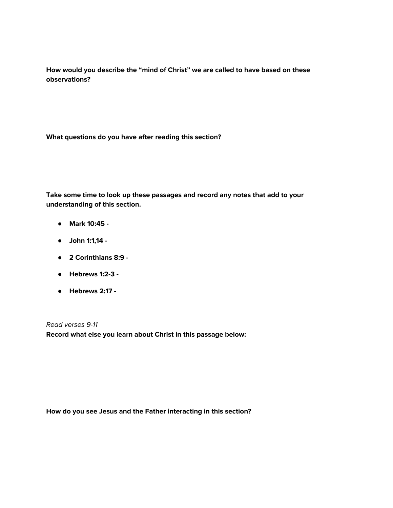**How would you describe the "mind of Christ" we are called to have based on these observations?**

**What questions do you have after reading this section?**

**Take some time to look up these passages and record any notes that add to your understanding of this section.**

- **● Mark 10:45 -**
- **● John 1:1,14 -**
- **● 2 Corinthians 8:9 -**
- **● Hebrews 1:2-3 -**
- **● Hebrews 2:17 -**

Read verses 9-11 **Record what else you learn about Christ in this passage below:**

**How do you see Jesus and the Father interacting in this section?**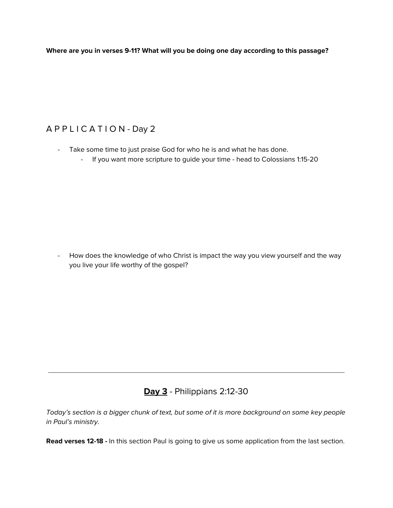**Where are you in verses 9-11? What will you be doing one day according to this passage?**

## A P P L I C A T I O N - Day 2

- Take some time to just praise God for who he is and what he has done.
	- If you want more scripture to guide your time head to Colossians 1:15-20

- How does the knowledge of who Christ is impact the way you view yourself and the way you live your life worthy of the gospel?

# **Day 3** - Philippians 2:12-30

Today's section is a bigger chunk of text, but some of it is more background on some key people in Paul's ministry.

**Read verses 12-18 -** In this section Paul is going to give us some application from the last section.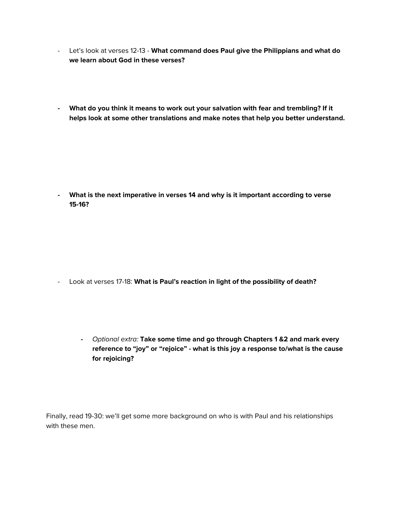- Let's look at verses 12-13 **What command does Paul give the Philippians and what do we learn about God in these verses?**
- **- What do you think it means to work out your salvation with fear and trembling? If it helps look at some other translations and make notes that help you better understand.**

**- What is the next imperative in verses 14 and why is it important according to verse 15-16?**

- Look at verses 17-18: **What is Paul's reaction in light of the possibility of death?**
	- **-** Optional extra: **Take some time and go through Chapters 1 &2 and mark every reference to "joy" or "rejoice" - what is this joy a response to/what is the cause for rejoicing?**

Finally, read 19-30: we'll get some more background on who is with Paul and his relationships with these men.